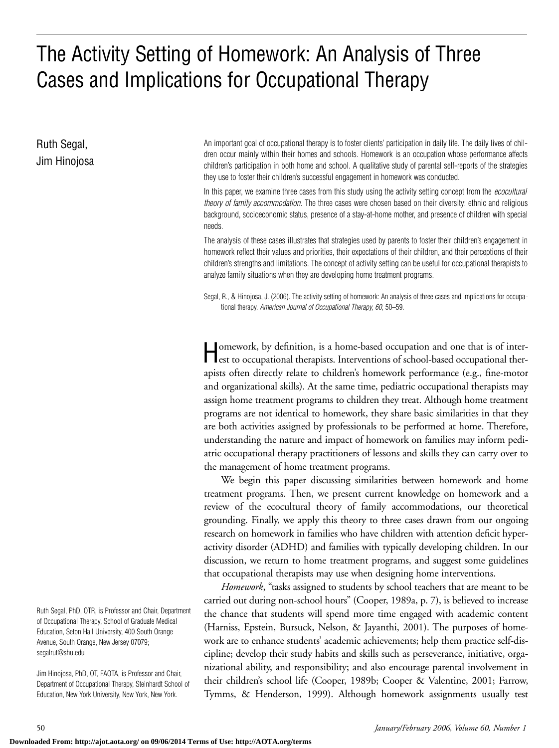# The Activity Setting of Homework: An Analysis of Three Cases and Implications for Occupational Therapy

Ruth Segal, Jim Hinojosa An important goal of occupational therapy is to foster clients' participation in daily life. The daily lives of children occur mainly within their homes and schools. Homework is an occupation whose performance affects children's participation in both home and school. A qualitative study of parental self-reports of the strategies they use to foster their children's successful engagement in homework was conducted.

In this paper, we examine three cases from this study using the activity setting concept from the *ecocultural theory of family accommodation.* The three cases were chosen based on their diversity: ethnic and religious background, socioeconomic status, presence of a stay-at-home mother, and presence of children with special needs.

The analysis of these cases illustrates that strategies used by parents to foster their children's engagement in homework reflect their values and priorities, their expectations of their children, and their perceptions of their children's strengths and limitations. The concept of activity setting can be useful for occupational therapists to analyze family situations when they are developing home treatment programs.

Segal, R., & Hinojosa, J. (2006). The activity setting of homework: An analysis of three cases and implications for occupational therapy. *American Journal of Occupational Therapy, 60,* 50–59.

Homework, by definition, is a home-based occupation and one that is of inter-est to occupational therapists. Interventions of school-based occupational therapists often directly relate to children's homework performance (e.g., fine-motor and organizational skills). At the same time, pediatric occupational therapists may assign home treatment programs to children they treat. Although home treatment programs are not identical to homework, they share basic similarities in that they are both activities assigned by professionals to be performed at home. Therefore, understanding the nature and impact of homework on families may inform pediatric occupational therapy practitioners of lessons and skills they can carry over to the management of home treatment programs.

We begin this paper discussing similarities between homework and home treatment programs. Then, we present current knowledge on homework and a review of the ecocultural theory of family accommodations, our theoretical grounding. Finally, we apply this theory to three cases drawn from our ongoing research on homework in families who have children with attention deficit hyperactivity disorder (ADHD) and families with typically developing children. In our discussion, we return to home treatment programs, and suggest some guidelines that occupational therapists may use when designing home interventions.

*Homework*, "tasks assigned to students by school teachers that are meant to be carried out during non-school hours" (Cooper, 1989a, p. 7), is believed to increase the chance that students will spend more time engaged with academic content (Harniss, Epstein, Bursuck, Nelson, & Jayanthi, 2001). The purposes of homework are to enhance students' academic achievements; help them practice self-discipline; develop their study habits and skills such as perseverance, initiative, organizational ability, and responsibility; and also encourage parental involvement in their children's school life (Cooper, 1989b; Cooper & Valentine, 2001; Farrow, Tymms, & Henderson, 1999). Although homework assignments usually test

Ruth Segal, PhD, OTR, is Professor and Chair, Department of Occupational Therapy, School of Graduate Medical Education, Seton Hall University, 400 South Orange Avenue, South Orange, New Jersey 07079; segalrut@shu.edu

Jim Hinojosa, PhD, OT, FAOTA, is Professor and Chair, Department of Occupational Therapy, Steinhardt School of Education, New York University, New York, New York.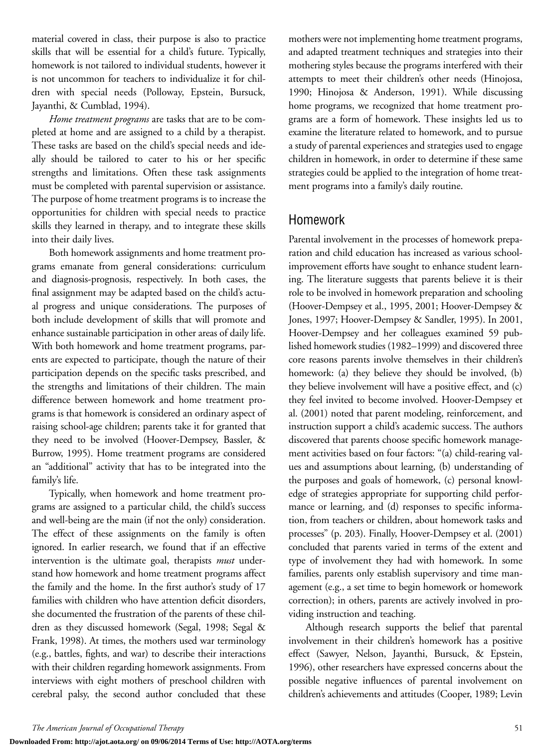material covered in class, their purpose is also to practice skills that will be essential for a child's future. Typically, homework is not tailored to individual students, however it is not uncommon for teachers to individualize it for children with special needs (Polloway, Epstein, Bursuck, Jayanthi, & Cumblad, 1994).

*Home treatment programs* are tasks that are to be completed at home and are assigned to a child by a therapist. These tasks are based on the child's special needs and ideally should be tailored to cater to his or her specific strengths and limitations. Often these task assignments must be completed with parental supervision or assistance. The purpose of home treatment programs is to increase the opportunities for children with special needs to practice skills they learned in therapy, and to integrate these skills into their daily lives.

Both homework assignments and home treatment programs emanate from general considerations: curriculum and diagnosis-prognosis, respectively. In both cases, the final assignment may be adapted based on the child's actual progress and unique considerations. The purposes of both include development of skills that will promote and enhance sustainable participation in other areas of daily life. With both homework and home treatment programs, parents are expected to participate, though the nature of their participation depends on the specific tasks prescribed, and the strengths and limitations of their children. The main difference between homework and home treatment programs is that homework is considered an ordinary aspect of raising school-age children; parents take it for granted that they need to be involved (Hoover-Dempsey, Bassler, & Burrow, 1995). Home treatment programs are considered an "additional" activity that has to be integrated into the family's life.

Typically, when homework and home treatment programs are assigned to a particular child, the child's success and well-being are the main (if not the only) consideration. The effect of these assignments on the family is often ignored. In earlier research, we found that if an effective intervention is the ultimate goal, therapists *must* understand how homework and home treatment programs affect the family and the home. In the first author's study of 17 families with children who have attention deficit disorders, she documented the frustration of the parents of these children as they discussed homework (Segal, 1998; Segal & Frank, 1998). At times, the mothers used war terminology (e.g., battles, fights, and war) to describe their interactions with their children regarding homework assignments. From interviews with eight mothers of preschool children with cerebral palsy, the second author concluded that these mothers were not implementing home treatment programs, and adapted treatment techniques and strategies into their mothering styles because the programs interfered with their attempts to meet their children's other needs (Hinojosa, 1990; Hinojosa & Anderson, 1991). While discussing home programs, we recognized that home treatment programs are a form of homework. These insights led us to examine the literature related to homework, and to pursue a study of parental experiences and strategies used to engage children in homework, in order to determine if these same strategies could be applied to the integration of home treatment programs into a family's daily routine.

### Homework

Parental involvement in the processes of homework preparation and child education has increased as various schoolimprovement efforts have sought to enhance student learning. The literature suggests that parents believe it is their role to be involved in homework preparation and schooling (Hoover-Dempsey et al., 1995, 2001; Hoover-Dempsey & Jones, 1997; Hoover-Dempsey & Sandler, 1995). In 2001, Hoover-Dempsey and her colleagues examined 59 published homework studies (1982–1999) and discovered three core reasons parents involve themselves in their children's homework: (a) they believe they should be involved, (b) they believe involvement will have a positive effect, and (c) they feel invited to become involved. Hoover-Dempsey et al. (2001) noted that parent modeling, reinforcement, and instruction support a child's academic success. The authors discovered that parents choose specific homework management activities based on four factors: "(a) child-rearing values and assumptions about learning, (b) understanding of the purposes and goals of homework, (c) personal knowledge of strategies appropriate for supporting child performance or learning, and (d) responses to specific information, from teachers or children, about homework tasks and processes" (p. 203). Finally, Hoover-Dempsey et al. (2001) concluded that parents varied in terms of the extent and type of involvement they had with homework. In some families, parents only establish supervisory and time management (e.g., a set time to begin homework or homework correction); in others, parents are actively involved in providing instruction and teaching.

Although research supports the belief that parental involvement in their children's homework has a positive effect (Sawyer, Nelson, Jayanthi, Bursuck, & Epstein, 1996), other researchers have expressed concerns about the possible negative influences of parental involvement on children's achievements and attitudes (Cooper, 1989; Levin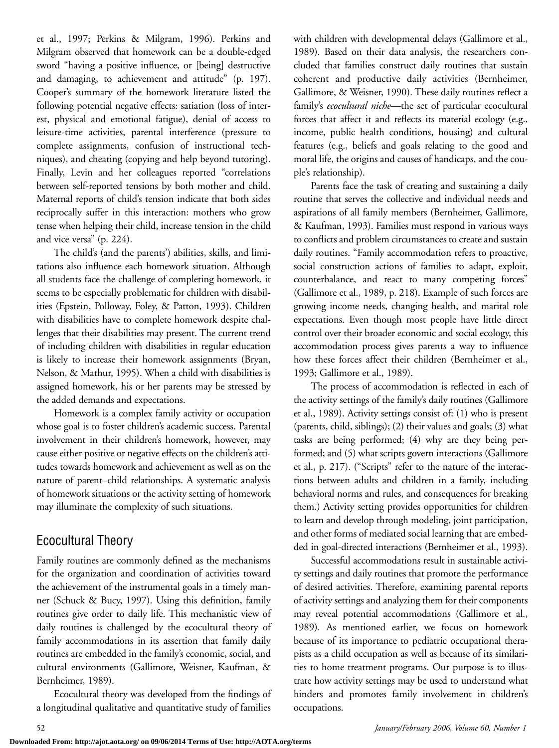et al., 1997; Perkins & Milgram, 1996). Perkins and Milgram observed that homework can be a double-edged sword "having a positive influence, or [being] destructive and damaging, to achievement and attitude" (p. 197). Cooper's summary of the homework literature listed the following potential negative effects: satiation (loss of interest, physical and emotional fatigue), denial of access to leisure-time activities, parental interference (pressure to complete assignments, confusion of instructional techniques), and cheating (copying and help beyond tutoring). Finally, Levin and her colleagues reported "correlations between self-reported tensions by both mother and child. Maternal reports of child's tension indicate that both sides reciprocally suffer in this interaction: mothers who grow tense when helping their child, increase tension in the child and vice versa" (p. 224).

The child's (and the parents') abilities, skills, and limitations also influence each homework situation. Although all students face the challenge of completing homework, it seems to be especially problematic for children with disabilities (Epstein, Polloway, Foley, & Patton, 1993). Children with disabilities have to complete homework despite challenges that their disabilities may present. The current trend of including children with disabilities in regular education is likely to increase their homework assignments (Bryan, Nelson, & Mathur, 1995). When a child with disabilities is assigned homework, his or her parents may be stressed by the added demands and expectations.

Homework is a complex family activity or occupation whose goal is to foster children's academic success. Parental involvement in their children's homework, however, may cause either positive or negative effects on the children's attitudes towards homework and achievement as well as on the nature of parent–child relationships. A systematic analysis of homework situations or the activity setting of homework may illuminate the complexity of such situations.

# Ecocultural Theory

Family routines are commonly defined as the mechanisms for the organization and coordination of activities toward the achievement of the instrumental goals in a timely manner (Schuck & Bucy, 1997). Using this definition, family routines give order to daily life. This mechanistic view of daily routines is challenged by the ecocultural theory of family accommodations in its assertion that family daily routines are embedded in the family's economic, social, and cultural environments (Gallimore, Weisner, Kaufman, & Bernheimer, 1989).

Ecocultural theory was developed from the findings of a longitudinal qualitative and quantitative study of families

with children with developmental delays (Gallimore et al., 1989). Based on their data analysis, the researchers concluded that families construct daily routines that sustain coherent and productive daily activities (Bernheimer, Gallimore, & Weisner, 1990). These daily routines reflect a family's *ecocultural niche—*the set of particular ecocultural forces that affect it and reflects its material ecology (e.g., income, public health conditions, housing) and cultural features (e.g., beliefs and goals relating to the good and moral life, the origins and causes of handicaps, and the couple's relationship).

Parents face the task of creating and sustaining a daily routine that serves the collective and individual needs and aspirations of all family members (Bernheimer, Gallimore, & Kaufman, 1993). Families must respond in various ways to conflicts and problem circumstances to create and sustain daily routines. "Family accommodation refers to proactive, social construction actions of families to adapt, exploit, counterbalance, and react to many competing forces" (Gallimore et al., 1989, p. 218). Example of such forces are growing income needs, changing health, and marital role expectations. Even though most people have little direct control over their broader economic and social ecology, this accommodation process gives parents a way to influence how these forces affect their children (Bernheimer et al., 1993; Gallimore et al., 1989).

The process of accommodation is reflected in each of the activity settings of the family's daily routines (Gallimore et al., 1989). Activity settings consist of: (1) who is present (parents, child, siblings); (2) their values and goals; (3) what tasks are being performed; (4) why are they being performed; and (5) what scripts govern interactions (Gallimore et al., p. 217). ("Scripts" refer to the nature of the interactions between adults and children in a family, including behavioral norms and rules, and consequences for breaking them.) Activity setting provides opportunities for children to learn and develop through modeling, joint participation, and other forms of mediated social learning that are embedded in goal-directed interactions (Bernheimer et al., 1993).

Successful accommodations result in sustainable activity settings and daily routines that promote the performance of desired activities. Therefore, examining parental reports of activity settings and analyzing them for their components may reveal potential accommodations (Gallimore et al., 1989). As mentioned earlier, we focus on homework because of its importance to pediatric occupational therapists as a child occupation as well as because of its similarities to home treatment programs. Our purpose is to illustrate how activity settings may be used to understand what hinders and promotes family involvement in children's occupations.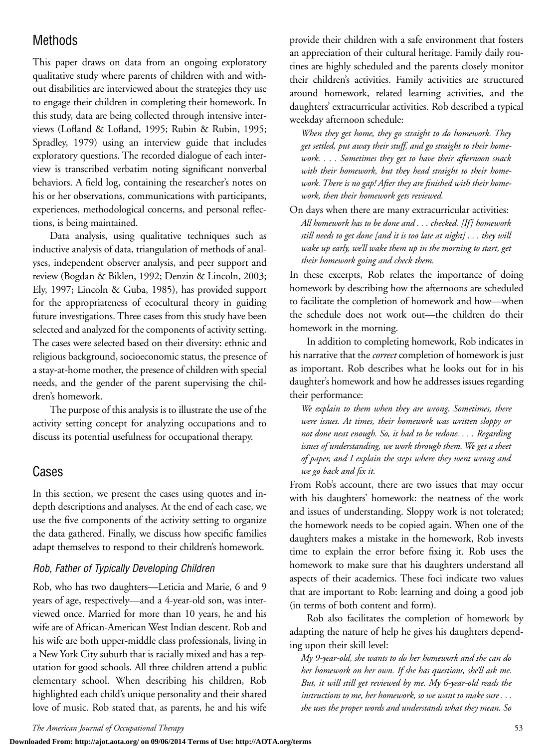# Methods

This paper draws on data from an ongoing exploratory qualitative study where parents of children with and without disabilities are interviewed about the strategies they use to engage their children in completing their homework. In this study, data are being collected through intensive interviews (Lofland & Lofland, 1995; Rubin & Rubin, 1995; Spradley, 1979) using an interview guide that includes exploratory questions. The recorded dialogue of each interview is transcribed verbatim noting significant nonverbal behaviors. A field log, containing the researcher's notes on his or her observations, communications with participants, experiences, methodological concerns, and personal reflections, is being maintained.

Data analysis, using qualitative techniques such as inductive analysis of data, triangulation of methods of analyses, independent observer analysis, and peer support and review (Bogdan & Biklen, 1992; Denzin & Lincoln, 2003; Ely, 1997; Lincoln & Guba, 1985), has provided support for the appropriateness of ecocultural theory in guiding future investigations. Three cases from this study have been selected and analyzed for the components of activity setting. The cases were selected based on their diversity: ethnic and religious background, socioeconomic status, the presence of a stay-at-home mother, the presence of children with special needs, and the gender of the parent supervising the children's homework.

The purpose of this analysis is to illustrate the use of the activity setting concept for analyzing occupations and to discuss its potential usefulness for occupational therapy.

## Cases

In this section, we present the cases using quotes and indepth descriptions and analyses. At the end of each case, we use the five components of the activity setting to organize the data gathered. Finally, we discuss how specific families adapt themselves to respond to their children's homework.

#### *Rob, Father of Typically Developing Children*

Rob, who has two daughters—Leticia and Marie, 6 and 9 years of age, respectively—and a 4-year-old son, was interviewed once. Married for more than 10 years, he and his wife are of African-American West Indian descent. Rob and his wife are both upper-middle class professionals, living in a New York City suburb that is racially mixed and has a reputation for good schools. All three children attend a public elementary school. When describing his children, Rob highlighted each child's unique personality and their shared love of music. Rob stated that, as parents, he and his wife

provide their children with a safe environment that fosters an appreciation of their cultural heritage. Family daily routines are highly scheduled and the parents closely monitor their children's activities. Family activities are structured around homework, related learning activities, and the daughters' extracurricular activities. Rob described a typical weekday afternoon schedule:

*When they get home, they go straight to do homework. They get settled, put away their stuff, and go straight to their homework. . . . Sometimes they get to have their afternoon snack with their homework, but they head straight to their homework. There is no gap! After they are finished with their homework, then their homework gets reviewed.*

On days when there are many extracurricular activities: *All homework has to be done and . . . checked. [If] homework still needs to get done [and it is too late at night] . . . they will wake up early, we'll wake them up in the morning to start, get their homework going and check them.*

In these excerpts, Rob relates the importance of doing homework by describing how the afternoons are scheduled to facilitate the completion of homework and how—when the schedule does not work out—the children do their homework in the morning.

In addition to completing homework, Rob indicates in his narrative that the *correct* completion of homework is just as important. Rob describes what he looks out for in his daughter's homework and how he addresses issues regarding their performance:

*We explain to them when they are wrong. Sometimes, there were issues. At times, their homework was written sloppy or not done neat enough. So, it had to be redone. . . . Regarding issues of understanding, we work through them. We get a sheet of paper, and I explain the steps where they went wrong and we go back and fix it.*

From Rob's account, there are two issues that may occur with his daughters' homework: the neatness of the work and issues of understanding. Sloppy work is not tolerated; the homework needs to be copied again. When one of the daughters makes a mistake in the homework, Rob invests time to explain the error before fixing it. Rob uses the homework to make sure that his daughters understand all aspects of their academics. These foci indicate two values that are important to Rob: learning and doing a good job (in terms of both content and form).

Rob also facilitates the completion of homework by adapting the nature of help he gives his daughters depending upon their skill level:

*My 9-year-old, she wants to do her homework and she can do her homework on her own. If she has questions, she'll ask me. But, it will still get reviewed by me. My 6-year-old reads the instructions to me, her homework, so we want to make sure . . . she uses the proper words and understands what they mean. So*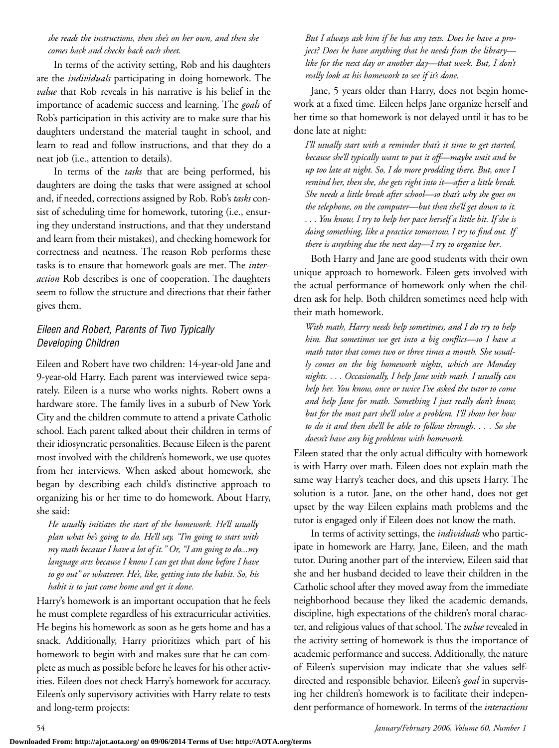#### *she reads the instructions, then she's on her own, and then she comes back and checks back each sheet.*

In terms of the activity setting, Rob and his daughters are the *individuals* participating in doing homework. The *value* that Rob reveals in his narrative is his belief in the importance of academic success and learning. The *goals* of Rob's participation in this activity are to make sure that his daughters understand the material taught in school, and learn to read and follow instructions, and that they do a neat job (i.e., attention to details).

In terms of the *tasks* that are being performed, his daughters are doing the tasks that were assigned at school and, if needed, corrections assigned by Rob. Rob's *tasks* consist of scheduling time for homework, tutoring (i.e., ensuring they understand instructions, and that they understand and learn from their mistakes), and checking homework for correctness and neatness. The reason Rob performs these tasks is to ensure that homework goals are met. The *interaction* Rob describes is one of cooperation. The daughters seem to follow the structure and directions that their father gives them.

### *Eileen and Robert, Parents of Two Typically Developing Children*

Eileen and Robert have two children: 14-year-old Jane and 9-year-old Harry. Each parent was interviewed twice separately. Eileen is a nurse who works nights. Robert owns a hardware store. The family lives in a suburb of New York City and the children commute to attend a private Catholic school. Each parent talked about their children in terms of their idiosyncratic personalities. Because Eileen is the parent most involved with the children's homework, we use quotes from her interviews. When asked about homework, she began by describing each child's distinctive approach to organizing his or her time to do homework. About Harry, she said:

*He usually initiates the start of the homework. He'll usually plan what he's going to do. He'll say, "I'm going to start with my math because I have a lot of it." Or, "I am going to do...my language arts because I know I can get that done before I have to go out" or whatever. He's, like, getting into the habit. So, his habit is to just come home and get it done.*

Harry's homework is an important occupation that he feels he must complete regardless of his extracurricular activities. He begins his homework as soon as he gets home and has a snack. Additionally, Harry prioritizes which part of his homework to begin with and makes sure that he can complete as much as possible before he leaves for his other activities. Eileen does not check Harry's homework for accuracy. Eileen's only supervisory activities with Harry relate to tests and long-term projects:

*But I always ask him if he has any tests. Does he have a project? Does he have anything that he needs from the library like for the next day or another day—that week. But, I don't really look at his homework to see if it's done.*

Jane, 5 years older than Harry, does not begin homework at a fixed time. Eileen helps Jane organize herself and her time so that homework is not delayed until it has to be done late at night:

*I'll usually start with a reminder that's it time to get started, because she'll typically want to put it off—maybe wait and be up too late at night. So, I do more prodding there. But, once I remind her, then she, she gets right into it—after a little break. She needs a little break after school—so that's why she goes on the telephone, on the computer—but then she'll get down to it. . . . You know, I try to help her pace herself a little bit. If she is doing something, like a practice tomorrow, I try to find out. If there is anything due the next day—I try to organize her*.

Both Harry and Jane are good students with their own unique approach to homework. Eileen gets involved with the actual performance of homework only when the children ask for help. Both children sometimes need help with their math homework.

*With math, Harry needs help sometimes, and I do try to help him. But sometimes we get into a big conflict—so I have a math tutor that comes two or three times a month. She usually comes on the big homework nights, which are Monday nights. . . . Occasionally, I help Jane with math. I usually can help her. You know, once or twice I've asked the tutor to come and help Jane for math. Something I just really don't know, but for the most part she'll solve a problem. I'll show her how to do it and then she'll be able to follow through. . . . So she doesn't have any big problems with homework.*

Eileen stated that the only actual difficulty with homework is with Harry over math. Eileen does not explain math the same way Harry's teacher does, and this upsets Harry. The solution is a tutor. Jane, on the other hand, does not get upset by the way Eileen explains math problems and the tutor is engaged only if Eileen does not know the math.

In terms of activity settings, the *individuals* who participate in homework are Harry, Jane, Eileen, and the math tutor. During another part of the interview, Eileen said that she and her husband decided to leave their children in the Catholic school after they moved away from the immediate neighborhood because they liked the academic demands, discipline, high expectations of the children's moral character, and religious values of that school. The *value* revealed in the activity setting of homework is thus the importance of academic performance and success. Additionally, the nature of Eileen's supervision may indicate that she values selfdirected and responsible behavior. Eileen's *goal* in supervising her children's homework is to facilitate their independent performance of homework. In terms of the *interactions*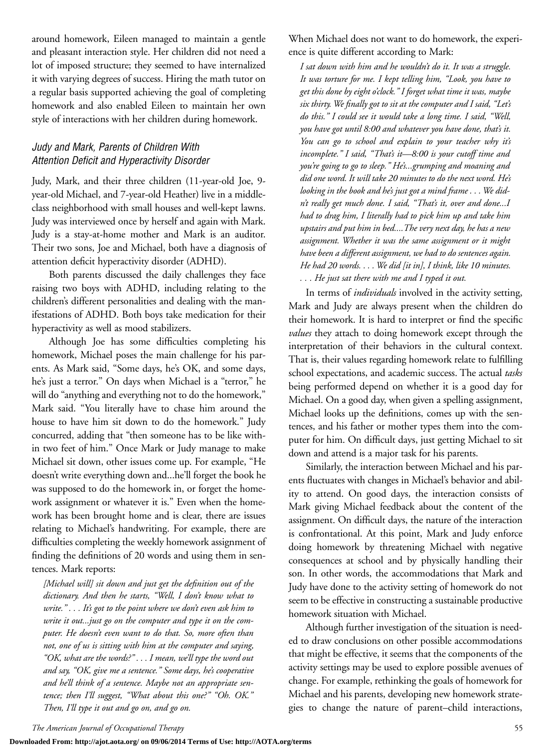around homework, Eileen managed to maintain a gentle and pleasant interaction style. Her children did not need a lot of imposed structure; they seemed to have internalized it with varying degrees of success. Hiring the math tutor on a regular basis supported achieving the goal of completing homework and also enabled Eileen to maintain her own style of interactions with her children during homework.

#### *Judy and Mark, Parents of Children With Attention Deficit and Hyperactivity Disorder*

Judy, Mark, and their three children (11-year-old Joe, 9 year-old Michael, and 7-year-old Heather) live in a middleclass neighborhood with small houses and well-kept lawns. Judy was interviewed once by herself and again with Mark. Judy is a stay-at-home mother and Mark is an auditor. Their two sons, Joe and Michael, both have a diagnosis of attention deficit hyperactivity disorder (ADHD).

Both parents discussed the daily challenges they face raising two boys with ADHD, including relating to the children's different personalities and dealing with the manifestations of ADHD. Both boys take medication for their hyperactivity as well as mood stabilizers.

Although Joe has some difficulties completing his homework, Michael poses the main challenge for his parents. As Mark said, "Some days, he's OK, and some days, he's just a terror." On days when Michael is a "terror," he will do "anything and everything not to do the homework," Mark said. "You literally have to chase him around the house to have him sit down to do the homework." Judy concurred, adding that "then someone has to be like within two feet of him." Once Mark or Judy manage to make Michael sit down, other issues come up. For example, "He doesn't write everything down and...he'll forget the book he was supposed to do the homework in, or forget the homework assignment or whatever it is." Even when the homework has been brought home and is clear, there are issues relating to Michael's handwriting. For example, there are difficulties completing the weekly homework assignment of finding the definitions of 20 words and using them in sentences. Mark reports:

*[Michael will] sit down and just get the definition out of the dictionary. And then he starts, "Well, I don't know what to write." . . . It's got to the point where we don't even ask him to write it out...just go on the computer and type it on the computer. He doesn't even want to do that. So, more often than not, one of us is sitting with him at the computer and saying, "OK, what are the words?" . . . I mean, we'll type the word out and say, "OK, give me a sentence." Some days, he's cooperative and he'll think of a sentence. Maybe not an appropriate sentence; then I'll suggest, "What about this one?" "Oh. OK." Then, I'll type it out and go on, and go on.*

When Michael does not want to do homework, the experience is quite different according to Mark:

*I sat down with him and he wouldn't do it. It was a struggle. It was torture for me. I kept telling him, "Look, you have to get this done by eight o'clock." I forget what time it was, maybe six thirty. We finally got to sit at the computer and I said, "Let's do this." I could see it would take a long time. I said, "Well, you have got until 8:00 and whatever you have done, that's it. You can go to school and explain to your teacher why it's incomplete." I said, "That's it—8:00 is your cutoff time and you're going to go to sleep." He's...grumping and moaning and did one word. It will take 20 minutes to do the next word. He's looking in the book and he's just got a mind frame . . . We didn't really get much done. I said, "That's it, over and done...I had to drag him, I literally had to pick him up and take him upstairs and put him in bed....The very next day, he has a new assignment. Whether it was the same assignment or it might have been a different assignment, we had to do sentences again. He had 20 words. . . . We did [it in], I think, like 10 minutes. . . . He just sat there with me and I typed it out.*

In terms of *individuals* involved in the activity setting, Mark and Judy are always present when the children do their homework. It is hard to interpret or find the specific *values* they attach to doing homework except through the interpretation of their behaviors in the cultural context. That is, their values regarding homework relate to fulfilling school expectations, and academic success. The actual *tasks* being performed depend on whether it is a good day for Michael. On a good day, when given a spelling assignment, Michael looks up the definitions, comes up with the sentences, and his father or mother types them into the computer for him. On difficult days, just getting Michael to sit down and attend is a major task for his parents.

Similarly, the interaction between Michael and his parents fluctuates with changes in Michael's behavior and ability to attend. On good days, the interaction consists of Mark giving Michael feedback about the content of the assignment. On difficult days, the nature of the interaction is confrontational. At this point, Mark and Judy enforce doing homework by threatening Michael with negative consequences at school and by physically handling their son. In other words, the accommodations that Mark and Judy have done to the activity setting of homework do not seem to be effective in constructing a sustainable productive homework situation with Michael.

Although further investigation of the situation is needed to draw conclusions on other possible accommodations that might be effective, it seems that the components of the activity settings may be used to explore possible avenues of change. For example, rethinking the goals of homework for Michael and his parents, developing new homework strategies to change the nature of parent–child interactions,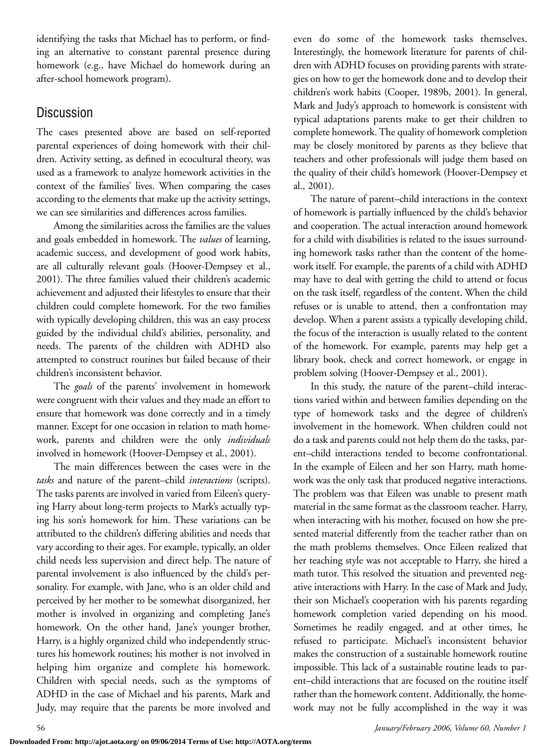identifying the tasks that Michael has to perform, or finding an alternative to constant parental presence during homework (e.g., have Michael do homework during an after-school homework program).

# **Discussion**

The cases presented above are based on self-reported parental experiences of doing homework with their children. Activity setting, as defined in ecocultural theory, was used as a framework to analyze homework activities in the context of the families' lives. When comparing the cases according to the elements that make up the activity settings, we can see similarities and differences across families.

Among the similarities across the families are the values and goals embedded in homework. The *values* of learning, academic success, and development of good work habits, are all culturally relevant goals (Hoover-Dempsey et al., 2001). The three families valued their children's academic achievement and adjusted their lifestyles to ensure that their children could complete homework. For the two families with typically developing children, this was an easy process guided by the individual child's abilities, personality, and needs. The parents of the children with ADHD also attempted to construct routines but failed because of their children's inconsistent behavior.

The *goals* of the parents' involvement in homework were congruent with their values and they made an effort to ensure that homework was done correctly and in a timely manner. Except for one occasion in relation to math homework, parents and children were the only *individuals* involved in homework (Hoover-Dempsey et al., 2001).

The main differences between the cases were in the *tasks* and nature of the parent–child *interactions* (scripts). The tasks parents are involved in varied from Eileen's querying Harry about long-term projects to Mark's actually typing his son's homework for him. These variations can be attributed to the children's differing abilities and needs that vary according to their ages. For example, typically, an older child needs less supervision and direct help. The nature of parental involvement is also influenced by the child's personality. For example, with Jane, who is an older child and perceived by her mother to be somewhat disorganized, her mother is involved in organizing and completing Jane's homework. On the other hand, Jane's younger brother, Harry, is a highly organized child who independently structures his homework routines; his mother is not involved in helping him organize and complete his homework. Children with special needs, such as the symptoms of ADHD in the case of Michael and his parents, Mark and Judy, may require that the parents be more involved and

even do some of the homework tasks themselves. Interestingly, the homework literature for parents of children with ADHD focuses on providing parents with strategies on how to get the homework done and to develop their children's work habits (Cooper, 1989b, 2001). In general, Mark and Judy's approach to homework is consistent with typical adaptations parents make to get their children to complete homework. The quality of homework completion may be closely monitored by parents as they believe that teachers and other professionals will judge them based on the quality of their child's homework (Hoover-Dempsey et al., 2001).

The nature of parent–child interactions in the context of homework is partially influenced by the child's behavior and cooperation. The actual interaction around homework for a child with disabilities is related to the issues surrounding homework tasks rather than the content of the homework itself. For example, the parents of a child with ADHD may have to deal with getting the child to attend or focus on the task itself, regardless of the content. When the child refuses or is unable to attend, then a confrontation may develop. When a parent assists a typically developing child, the focus of the interaction is usually related to the content of the homework. For example, parents may help get a library book, check and correct homework, or engage in problem solving (Hoover-Dempsey et al., 2001).

In this study, the nature of the parent–child interactions varied within and between families depending on the type of homework tasks and the degree of children's involvement in the homework. When children could not do a task and parents could not help them do the tasks, parent–child interactions tended to become confrontational. In the example of Eileen and her son Harry, math homework was the only task that produced negative interactions. The problem was that Eileen was unable to present math material in the same format as the classroom teacher. Harry, when interacting with his mother, focused on how she presented material differently from the teacher rather than on the math problems themselves. Once Eileen realized that her teaching style was not acceptable to Harry, she hired a math tutor. This resolved the situation and prevented negative interactions with Harry. In the case of Mark and Judy, their son Michael's cooperation with his parents regarding homework completion varied depending on his mood. Sometimes he readily engaged, and at other times, he refused to participate. Michael's inconsistent behavior makes the construction of a sustainable homework routine impossible. This lack of a sustainable routine leads to parent–child interactions that are focused on the routine itself rather than the homework content. Additionally, the homework may not be fully accomplished in the way it was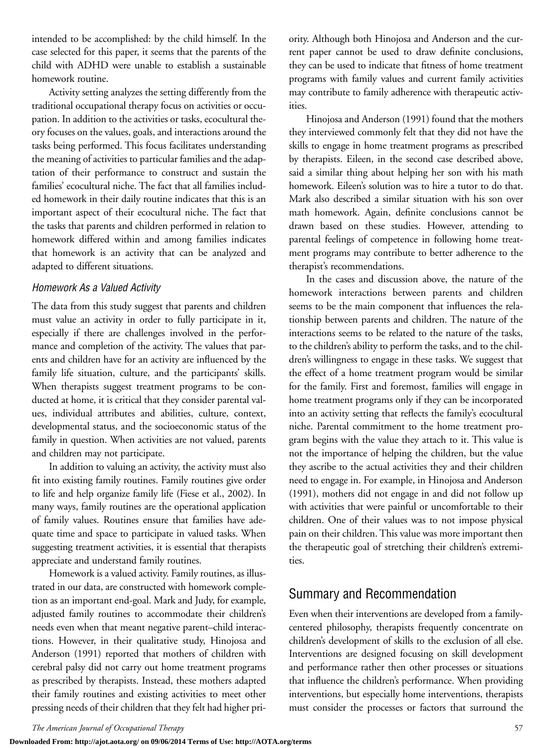intended to be accomplished: by the child himself. In the case selected for this paper, it seems that the parents of the child with ADHD were unable to establish a sustainable homework routine.

Activity setting analyzes the setting differently from the traditional occupational therapy focus on activities or occupation. In addition to the activities or tasks, ecocultural theory focuses on the values, goals, and interactions around the tasks being performed. This focus facilitates understanding the meaning of activities to particular families and the adaptation of their performance to construct and sustain the families' ecocultural niche. The fact that all families included homework in their daily routine indicates that this is an important aspect of their ecocultural niche. The fact that the tasks that parents and children performed in relation to homework differed within and among families indicates that homework is an activity that can be analyzed and adapted to different situations.

#### *Homework As a Valued Activity*

The data from this study suggest that parents and children must value an activity in order to fully participate in it, especially if there are challenges involved in the performance and completion of the activity. The values that parents and children have for an activity are influenced by the family life situation, culture, and the participants' skills. When therapists suggest treatment programs to be conducted at home, it is critical that they consider parental values, individual attributes and abilities, culture, context, developmental status, and the socioeconomic status of the family in question. When activities are not valued, parents and children may not participate.

In addition to valuing an activity, the activity must also fit into existing family routines. Family routines give order to life and help organize family life (Fiese et al., 2002). In many ways, family routines are the operational application of family values. Routines ensure that families have adequate time and space to participate in valued tasks. When suggesting treatment activities, it is essential that therapists appreciate and understand family routines.

Homework is a valued activity. Family routines, as illustrated in our data, are constructed with homework completion as an important end-goal. Mark and Judy, for example, adjusted family routines to accommodate their children's needs even when that meant negative parent–child interactions. However, in their qualitative study, Hinojosa and Anderson (1991) reported that mothers of children with cerebral palsy did not carry out home treatment programs as prescribed by therapists. Instead, these mothers adapted their family routines and existing activities to meet other pressing needs of their children that they felt had higher priority. Although both Hinojosa and Anderson and the current paper cannot be used to draw definite conclusions, they can be used to indicate that fitness of home treatment programs with family values and current family activities may contribute to family adherence with therapeutic activities.

Hinojosa and Anderson (1991) found that the mothers they interviewed commonly felt that they did not have the skills to engage in home treatment programs as prescribed by therapists. Eileen, in the second case described above, said a similar thing about helping her son with his math homework. Eileen's solution was to hire a tutor to do that. Mark also described a similar situation with his son over math homework. Again, definite conclusions cannot be drawn based on these studies. However, attending to parental feelings of competence in following home treatment programs may contribute to better adherence to the therapist's recommendations.

In the cases and discussion above, the nature of the homework interactions between parents and children seems to be the main component that influences the relationship between parents and children. The nature of the interactions seems to be related to the nature of the tasks, to the children's ability to perform the tasks, and to the children's willingness to engage in these tasks. We suggest that the effect of a home treatment program would be similar for the family. First and foremost, families will engage in home treatment programs only if they can be incorporated into an activity setting that reflects the family's ecocultural niche. Parental commitment to the home treatment program begins with the value they attach to it. This value is not the importance of helping the children, but the value they ascribe to the actual activities they and their children need to engage in. For example, in Hinojosa and Anderson (1991), mothers did not engage in and did not follow up with activities that were painful or uncomfortable to their children. One of their values was to not impose physical pain on their children. This value was more important then the therapeutic goal of stretching their children's extremities.

## Summary and Recommendation

Even when their interventions are developed from a familycentered philosophy, therapists frequently concentrate on children's development of skills to the exclusion of all else. Interventions are designed focusing on skill development and performance rather then other processes or situations that influence the children's performance. When providing interventions, but especially home interventions, therapists must consider the processes or factors that surround the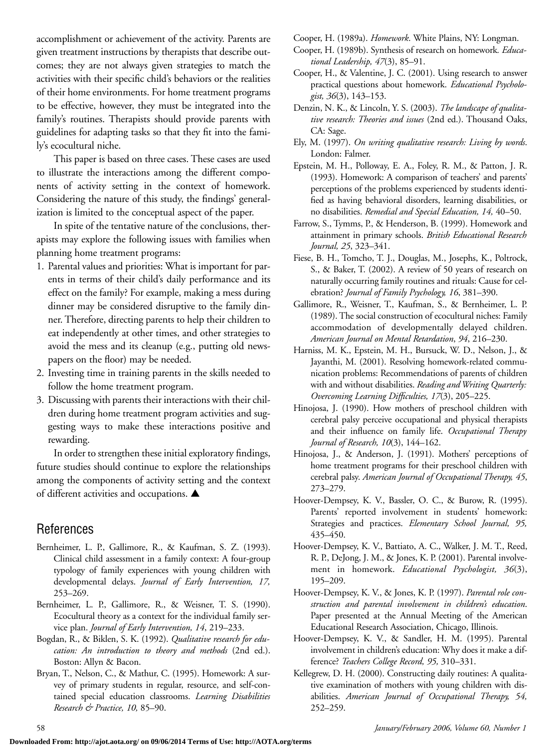accomplishment or achievement of the activity. Parents are given treatment instructions by therapists that describe outcomes; they are not always given strategies to match the activities with their specific child's behaviors or the realities of their home environments. For home treatment programs to be effective, however, they must be integrated into the family's routines. Therapists should provide parents with guidelines for adapting tasks so that they fit into the family's ecocultural niche.

This paper is based on three cases. These cases are used to illustrate the interactions among the different components of activity setting in the context of homework. Considering the nature of this study, the findings' generalization is limited to the conceptual aspect of the paper.

In spite of the tentative nature of the conclusions, therapists may explore the following issues with families when planning home treatment programs:

- 1. Parental values and priorities: What is important for parents in terms of their child's daily performance and its effect on the family? For example, making a mess during dinner may be considered disruptive to the family dinner. Therefore, directing parents to help their children to eat independently at other times, and other strategies to avoid the mess and its cleanup (e.g., putting old newspapers on the floor) may be needed.
- 2. Investing time in training parents in the skills needed to follow the home treatment program.
- 3. Discussing with parents their interactions with their children during home treatment program activities and suggesting ways to make these interactions positive and rewarding.

In order to strengthen these initial exploratory findings, future studies should continue to explore the relationships among the components of activity setting and the context of different activities and occupations. **▲**

## References

- Bernheimer, L. P., Gallimore, R., & Kaufman, S. Z. (1993). Clinical child assessment in a family context: A four-group typology of family experiences with young children with developmental delays. *Journal of Early Intervention, 17,* 253–269.
- Bernheimer, L. P., Gallimore, R., & Weisner, T. S. (1990). Ecocultural theory as a context for the individual family service plan. *Journal of Early Intervention, 14*, 219–233.
- Bogdan, R., & Biklen, S. K. (1992). *Qualitative research for education: An introduction to theory and methods* (2nd ed.). Boston: Allyn & Bacon.
- Bryan, T., Nelson, C., & Mathur, C. (1995). Homework: A survey of primary students in regular, resource, and self-contained special education classrooms. *Learning Disabilities Research & Practice, 10,* 85–90.

Cooper, H. (1989a). *Homework*. White Plains, NY: Longman.

- Cooper, H. (1989b). Synthesis of research on homework*. Educational Leadership, 47*(3), 85–91.
- Cooper, H., & Valentine, J. C. (2001). Using research to answer practical questions about homework. *Educational Psychologist, 36*(3), 143–153.
- Denzin, N. K., & Lincoln, Y. S. (2003). *The landscape of qualitative research: Theories and issues* (2nd ed.). Thousand Oaks, CA: Sage.
- Ely, M. (1997). *On writing qualitative research: Living by words*. London: Falmer.
- Epstein, M. H., Polloway, E. A., Foley, R. M., & Patton, J. R. (1993). Homework: A comparison of teachers' and parents' perceptions of the problems experienced by students identified as having behavioral disorders, learning disabilities, or no disabilities. *Remedial and Special Education, 14,* 40–50.
- Farrow, S., Tymms, P., & Henderson, B. (1999). Homework and attainment in primary schools. *British Educational Research Journal, 25*, 323–341.
- Fiese, B. H., Tomcho, T. J., Douglas, M., Josephs, K., Poltrock, S., & Baker, T. (2002). A review of 50 years of research on naturally occurring family routines and rituals: Cause for celebration? *Journal of Family Psychology, 16*, 381–390.
- Gallimore, R., Weisner, T., Kaufman, S., & Bernheimer, L. P. (1989). The social construction of ecocultural niches: Family accommodation of developmentally delayed children. *American Journal on Mental Retardation*, *94*, 216–230.
- Harniss, M. K., Epstein, M. H., Bursuck, W. D., Nelson, J., & Jayanthi, M. (2001). Resolving homework-related communication problems: Recommendations of parents of children with and without disabilities. *Reading and Writing Quarterly: Overcoming Learning Difficulties, 17*(3), 205–225.
- Hinojosa, J. (1990). How mothers of preschool children with cerebral palsy perceive occupational and physical therapists and their influence on family life. *Occupational Therapy Journal of Research, 10*(3), 144–162.
- Hinojosa, J., & Anderson, J. (1991). Mothers' perceptions of home treatment programs for their preschool children with cerebral palsy. *American Journal of Occupational Therapy, 45*, 273–279.
- Hoover-Dempsey, K. V., Bassler, O. C., & Burow, R. (1995). Parents' reported involvement in students' homework: Strategies and practices. *Elementary School Journal, 95,* 435–450.
- Hoover-Dempsey, K. V., Battiato, A. C., Walker, J. M. T., Reed, R. P., DeJong, J. M., & Jones, K. P. (2001). Parental involvement in homework. *Educational Psychologist, 36*(3), 195–209.
- Hoover-Dempsey, K. V., & Jones, K. P. (1997). *Parental role construction and parental involvement in children's education*. Paper presented at the Annual Meeting of the American Educational Research Association, Chicago, Illinois.
- Hoover-Dempsey, K. V., & Sandler, H. M. (1995). Parental involvement in children's education: Why does it make a difference? *Teachers College Record, 95,* 310–331.
- Kellegrew, D. H. (2000). Constructing daily routines: A qualitative examination of mothers with young children with disabilities. *American Journal of Occupational Therapy, 54,* 252–259.